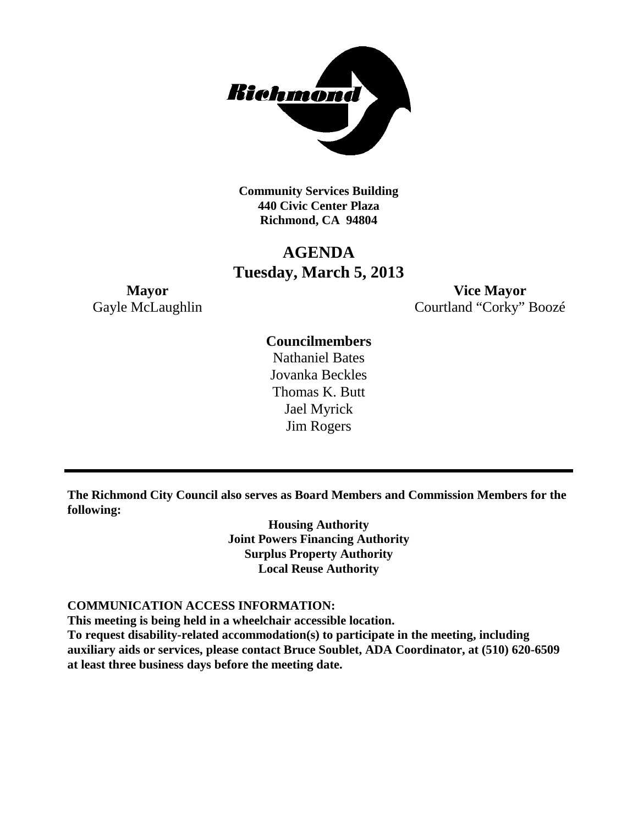

**Community Services Building 440 Civic Center Plaza Richmond, CA 94804**

# **AGENDA Tuesday, March 5, 2013**

**Mayor Vice Mayor** Gayle McLaughlin Courtland "Corky" Boozé

## **Councilmembers**

Nathaniel Bates Jovanka Beckles Thomas K. Butt Jael Myrick Jim Rogers

**The Richmond City Council also serves as Board Members and Commission Members for the following:**

> **Housing Authority Joint Powers Financing Authority Surplus Property Authority Local Reuse Authority**

#### **COMMUNICATION ACCESS INFORMATION:**

**This meeting is being held in a wheelchair accessible location.**

**To request disability-related accommodation(s) to participate in the meeting, including auxiliary aids or services, please contact Bruce Soublet, ADA Coordinator, at (510) 620-6509 at least three business days before the meeting date.**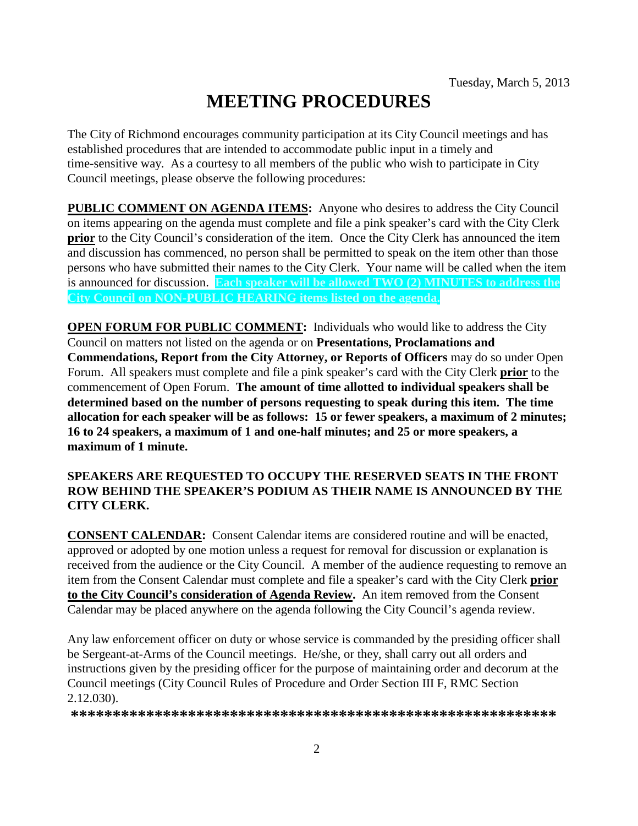# **MEETING PROCEDURES**

The City of Richmond encourages community participation at its City Council meetings and has established procedures that are intended to accommodate public input in a timely and time-sensitive way. As a courtesy to all members of the public who wish to participate in City Council meetings, please observe the following procedures:

**PUBLIC COMMENT ON AGENDA ITEMS:** Anyone who desires to address the City Council on items appearing on the agenda must complete and file a pink speaker's card with the City Clerk **prior** to the City Council's consideration of the item. Once the City Clerk has announced the item and discussion has commenced, no person shall be permitted to speak on the item other than those persons who have submitted their names to the City Clerk. Your name will be called when the item is announced for discussion. **Each speaker will be allowed TWO (2) MINUTES to address the City Council on NON-PUBLIC HEARING items listed on the agenda.**

**OPEN FORUM FOR PUBLIC COMMENT:** Individuals who would like to address the City Council on matters not listed on the agenda or on **Presentations, Proclamations and Commendations, Report from the City Attorney, or Reports of Officers** may do so under Open Forum. All speakers must complete and file a pink speaker's card with the City Clerk **prior** to the commencement of Open Forum. **The amount of time allotted to individual speakers shall be determined based on the number of persons requesting to speak during this item. The time allocation for each speaker will be as follows: 15 or fewer speakers, a maximum of 2 minutes; 16 to 24 speakers, a maximum of 1 and one-half minutes; and 25 or more speakers, a maximum of 1 minute.**

### **SPEAKERS ARE REQUESTED TO OCCUPY THE RESERVED SEATS IN THE FRONT ROW BEHIND THE SPEAKER'S PODIUM AS THEIR NAME IS ANNOUNCED BY THE CITY CLERK.**

**CONSENT CALENDAR:** Consent Calendar items are considered routine and will be enacted, approved or adopted by one motion unless a request for removal for discussion or explanation is received from the audience or the City Council. A member of the audience requesting to remove an item from the Consent Calendar must complete and file a speaker's card with the City Clerk **prior to the City Council's consideration of Agenda Review.** An item removed from the Consent Calendar may be placed anywhere on the agenda following the City Council's agenda review.

Any law enforcement officer on duty or whose service is commanded by the presiding officer shall be Sergeant-at-Arms of the Council meetings. He/she, or they, shall carry out all orders and instructions given by the presiding officer for the purpose of maintaining order and decorum at the Council meetings (City Council Rules of Procedure and Order Section III F, RMC Section 2.12.030).

**\*\*\*\*\*\*\*\*\*\*\*\*\*\*\*\*\*\*\*\*\*\*\*\*\*\*\*\*\*\*\*\*\*\*\*\*\*\*\*\*\*\*\*\*\*\*\*\*\*\*\*\*\*\*\*\*\*\***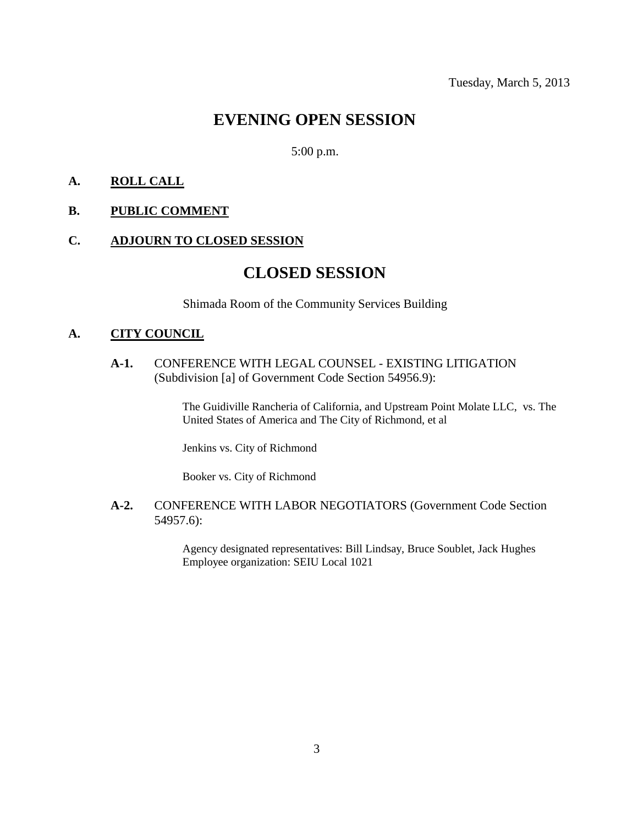# **EVENING OPEN SESSION**

5:00 p.m.

### **A. ROLL CALL**

#### **B. PUBLIC COMMENT**

#### **C. ADJOURN TO CLOSED SESSION**

# **CLOSED SESSION**

Shimada Room of the Community Services Building

### **A. CITY COUNCIL**

**A-1.** CONFERENCE WITH LEGAL COUNSEL - EXISTING LITIGATION (Subdivision [a] of Government Code Section 54956.9):

> The Guidiville Rancheria of California, and Upstream Point Molate LLC, vs. The United States of America and The City of Richmond, et al

Jenkins vs. City of Richmond

Booker vs. City of Richmond

**A-2.** CONFERENCE WITH LABOR NEGOTIATORS (Government Code Section 54957.6):

> Agency designated representatives: Bill Lindsay, Bruce Soublet, Jack Hughes Employee organization: SEIU Local 1021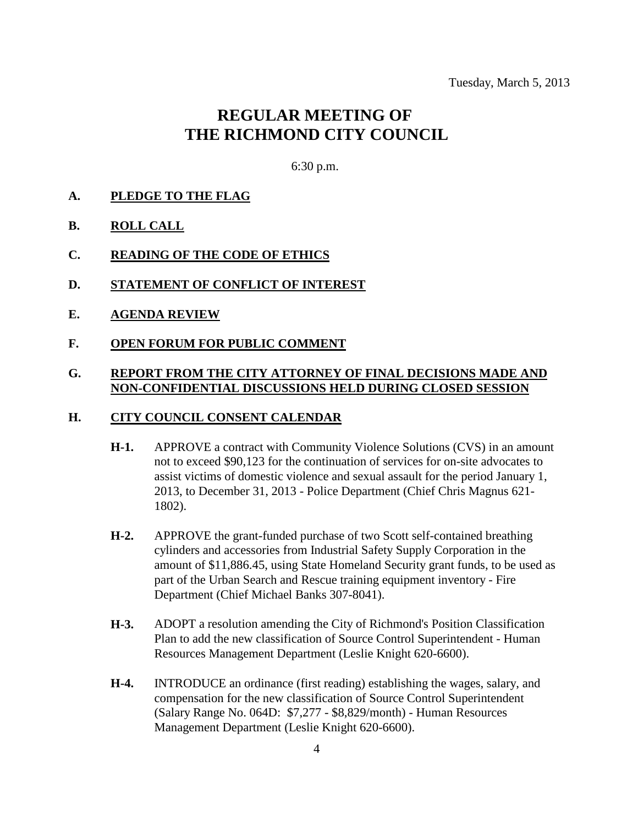# **REGULAR MEETING OF THE RICHMOND CITY COUNCIL**

6:30 p.m.

- **A. PLEDGE TO THE FLAG**
- **B. ROLL CALL**
- **C. READING OF THE CODE OF ETHICS**
- **D. STATEMENT OF CONFLICT OF INTEREST**
- **E. AGENDA REVIEW**
- **F. OPEN FORUM FOR PUBLIC COMMENT**

### **G. REPORT FROM THE CITY ATTORNEY OF FINAL DECISIONS MADE AND NON-CONFIDENTIAL DISCUSSIONS HELD DURING CLOSED SESSION**

#### **H. CITY COUNCIL CONSENT CALENDAR**

- **H-1.** APPROVE a contract with Community Violence Solutions (CVS) in an amount not to exceed \$90,123 for the continuation of services for on-site advocates to assist victims of domestic violence and sexual assault for the period January 1, 2013, to December 31, 2013 - Police Department (Chief Chris Magnus 621- 1802).
- **H-2.** APPROVE the grant-funded purchase of two Scott self-contained breathing cylinders and accessories from Industrial Safety Supply Corporation in the amount of \$11,886.45, using State Homeland Security grant funds, to be used as part of the Urban Search and Rescue training equipment inventory - Fire Department (Chief Michael Banks 307-8041).
- **H-3.** ADOPT a resolution amending the City of Richmond's Position Classification Plan to add the new classification of Source Control Superintendent - Human Resources Management Department (Leslie Knight 620-6600).
- **H-4.** INTRODUCE an ordinance (first reading) establishing the wages, salary, and compensation for the new classification of Source Control Superintendent (Salary Range No. 064D: \$7,277 - \$8,829/month) - Human Resources Management Department (Leslie Knight 620-6600).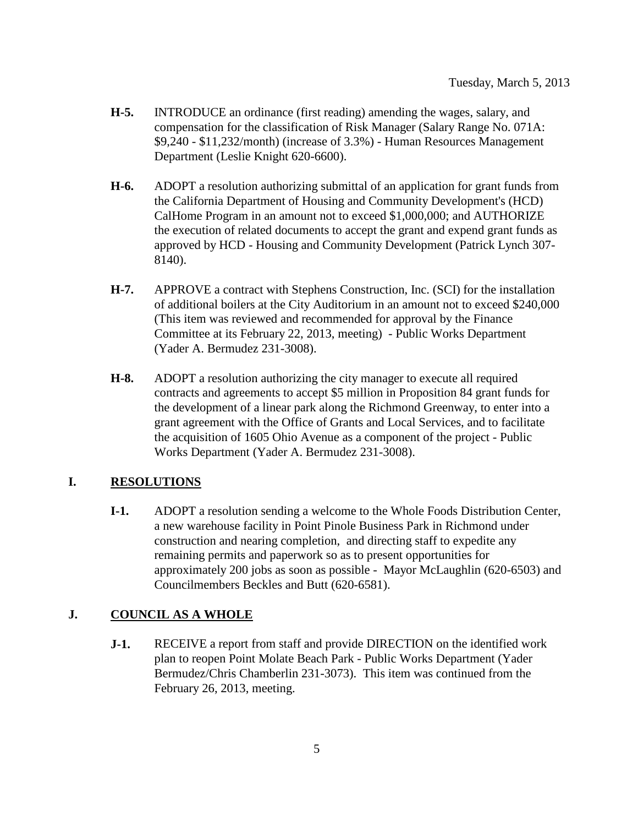- **H-5.** INTRODUCE an ordinance (first reading) amending the wages, salary, and compensation for the classification of Risk Manager (Salary Range No. 071A: \$9,240 - \$11,232/month) (increase of 3.3%) - Human Resources Management Department (Leslie Knight 620-6600).
- **H-6.** ADOPT a resolution authorizing submittal of an application for grant funds from the California Department of Housing and Community Development's (HCD) CalHome Program in an amount not to exceed \$1,000,000; and AUTHORIZE the execution of related documents to accept the grant and expend grant funds as approved by HCD - Housing and Community Development (Patrick Lynch 307- 8140).
- **H-7.** APPROVE a contract with Stephens Construction, Inc. (SCI) for the installation of additional boilers at the City Auditorium in an amount not to exceed \$240,000 (This item was reviewed and recommended for approval by the Finance Committee at its February 22, 2013, meeting) - Public Works Department (Yader A. Bermudez 231-3008).
- **H-8.** ADOPT a resolution authorizing the city manager to execute all required contracts and agreements to accept \$5 million in Proposition 84 grant funds for the development of a linear park along the Richmond Greenway, to enter into a grant agreement with the Office of Grants and Local Services, and to facilitate the acquisition of 1605 Ohio Avenue as a component of the project - Public Works Department (Yader A. Bermudez 231-3008).

### **I. RESOLUTIONS**

**I-1.** ADOPT a resolution sending a welcome to the Whole Foods Distribution Center, a new warehouse facility in Point Pinole Business Park in Richmond under construction and nearing completion, and directing staff to expedite any remaining permits and paperwork so as to present opportunities for approximately 200 jobs as soon as possible - Mayor McLaughlin (620-6503) and Councilmembers Beckles and Butt (620-6581).

### **J. COUNCIL AS A WHOLE**

**J-1.** RECEIVE a report from staff and provide DIRECTION on the identified work plan to reopen Point Molate Beach Park - Public Works Department (Yader Bermudez/Chris Chamberlin 231-3073). This item was continued from the February 26, 2013, meeting.